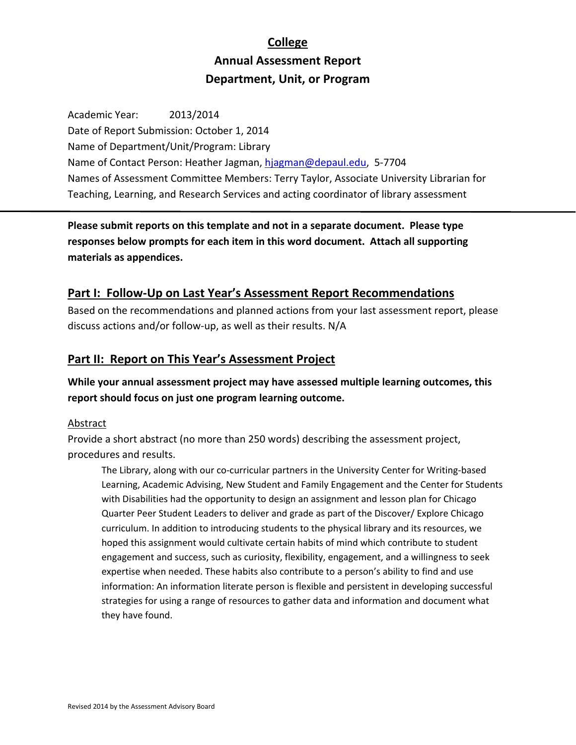# **College Annual Assessment Report Department, Unit, or Program**

Academic Year: 2013/2014 Date of Report Submission: October 1, 2014 Name of Department/Unit/Program: Library Name of Contact Person: Heather Jagman, hjagman@depaul.edu, 5‐7704 Names of Assessment Committee Members: Terry Taylor, Associate University Librarian for Teaching, Learning, and Research Services and acting coordinator of library assessment

**Please submit reports on this template and not in a separate document. Please type responses below prompts for each item in this word document. Attach all supporting materials as appendices.**

## **Part I: Follow‐Up on Last Year's Assessment Report Recommendations**

Based on the recommendations and planned actions from your last assessment report, please discuss actions and/or follow‐up, as well as their results. N/A

## **Part II: Report on This Year's Assessment Project**

**While your annual assessment project may have assessed multiple learning outcomes, this report should focus on just one program learning outcome.**

## **Abstract**

Provide a short abstract (no more than 250 words) describing the assessment project, procedures and results.

The Library, along with our co-curricular partners in the University Center for Writing-based Learning, Academic Advising, New Student and Family Engagement and the Center for Students with Disabilities had the opportunity to design an assignment and lesson plan for Chicago Quarter Peer Student Leaders to deliver and grade as part of the Discover/ Explore Chicago curriculum. In addition to introducing students to the physical library and its resources, we hoped this assignment would cultivate certain habits of mind which contribute to student engagement and success, such as curiosity, flexibility, engagement, and a willingness to seek expertise when needed. These habits also contribute to a person's ability to find and use information: An information literate person is flexible and persistent in developing successful strategies for using a range of resources to gather data and information and document what they have found.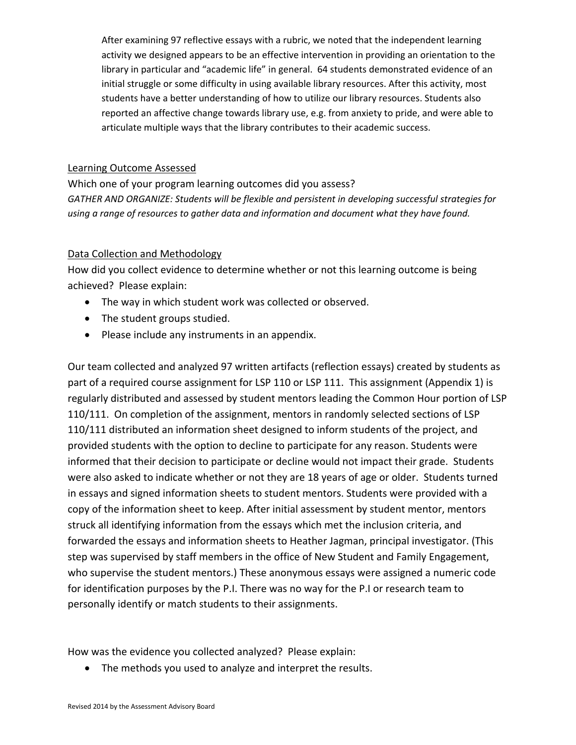After examining 97 reflective essays with a rubric, we noted that the independent learning activity we designed appears to be an effective intervention in providing an orientation to the library in particular and "academic life" in general. 64 students demonstrated evidence of an initial struggle or some difficulty in using available library resources. After this activity, most students have a better understanding of how to utilize our library resources. Students also reported an affective change towards library use, e.g. from anxiety to pride, and were able to articulate multiple ways that the library contributes to their academic success.

## Learning Outcome Assessed

Which one of your program learning outcomes did you assess? *GATHER AND ORGANIZE: Students will be flexible and persistent in developing successful strategies for using a range of resources to gather data and information and document what they have found.*

### Data Collection and Methodology

How did you collect evidence to determine whether or not this learning outcome is being achieved? Please explain:

- The way in which student work was collected or observed.
- The student groups studied.
- Please include any instruments in an appendix.

Our team collected and analyzed 97 written artifacts (reflection essays) created by students as part of a required course assignment for LSP 110 or LSP 111. This assignment (Appendix 1) is regularly distributed and assessed by student mentors leading the Common Hour portion of LSP 110/111. On completion of the assignment, mentors in randomly selected sections of LSP 110/111 distributed an information sheet designed to inform students of the project, and provided students with the option to decline to participate for any reason. Students were informed that their decision to participate or decline would not impact their grade. Students were also asked to indicate whether or not they are 18 years of age or older. Students turned in essays and signed information sheets to student mentors. Students were provided with a copy of the information sheet to keep. After initial assessment by student mentor, mentors struck all identifying information from the essays which met the inclusion criteria, and forwarded the essays and information sheets to Heather Jagman, principal investigator. (This step was supervised by staff members in the office of New Student and Family Engagement, who supervise the student mentors.) These anonymous essays were assigned a numeric code for identification purposes by the P.I. There was no way for the P.I or research team to personally identify or match students to their assignments.

How was the evidence you collected analyzed? Please explain:

• The methods you used to analyze and interpret the results.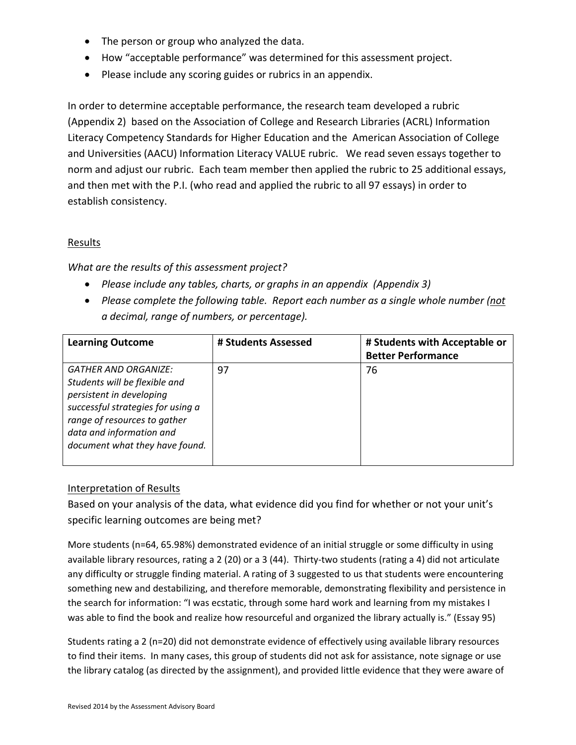- The person or group who analyzed the data.
- How "acceptable performance" was determined for this assessment project.
- Please include any scoring guides or rubrics in an appendix.

In order to determine acceptable performance, the research team developed a rubric (Appendix 2) based on the Association of College and Research Libraries (ACRL) Information Literacy Competency Standards for Higher Education and the American Association of College and Universities (AACU) Information Literacy VALUE rubric. We read seven essays together to norm and adjust our rubric. Each team member then applied the rubric to 25 additional essays, and then met with the P.I. (who read and applied the rubric to all 97 essays) in order to establish consistency.

## **Results**

*What are the results of this assessment project?*

- *Please include any tables, charts, or graphs in an appendix (Appendix 3)*
- *Please complete the following table. Report each number as a single whole number (not a decimal, range of numbers, or percentage).*

| <b>Learning Outcome</b>                                                                                                                                                                                                     | # Students Assessed | # Students with Acceptable or<br><b>Better Performance</b> |
|-----------------------------------------------------------------------------------------------------------------------------------------------------------------------------------------------------------------------------|---------------------|------------------------------------------------------------|
| <b>GATHER AND ORGANIZE:</b><br>Students will be flexible and<br>persistent in developing<br>successful strategies for using a<br>range of resources to gather<br>data and information and<br>document what they have found. | 97                  | 76                                                         |

## Interpretation of Results

Based on your analysis of the data, what evidence did you find for whether or not your unit's specific learning outcomes are being met?

More students (n=64, 65.98%) demonstrated evidence of an initial struggle or some difficulty in using available library resources, rating a 2 (20) or a 3 (44). Thirty-two students (rating a 4) did not articulate any difficulty or struggle finding material. A rating of 3 suggested to us that students were encountering something new and destabilizing, and therefore memorable, demonstrating flexibility and persistence in the search for information: "I was ecstatic, through some hard work and learning from my mistakes I was able to find the book and realize how resourceful and organized the library actually is." (Essay 95)

Students rating a 2 (n=20) did not demonstrate evidence of effectively using available library resources to find their items. In many cases, this group of students did not ask for assistance, note signage or use the library catalog (as directed by the assignment), and provided little evidence that they were aware of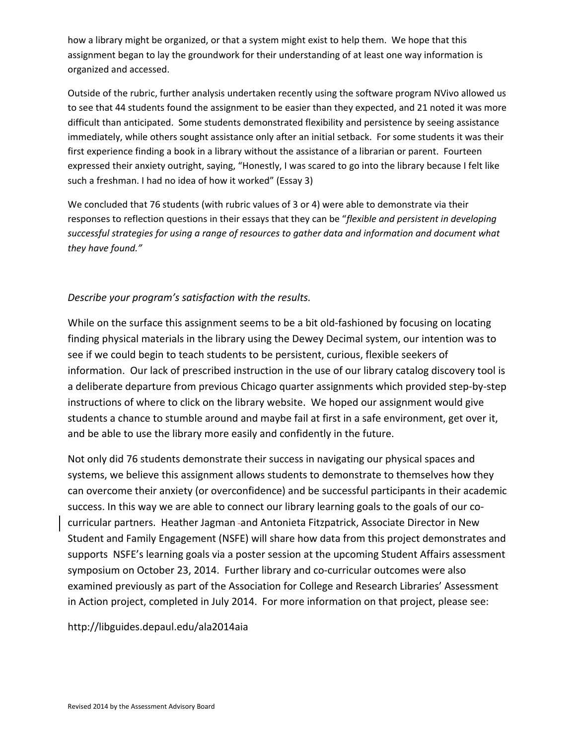how a library might be organized, or that a system might exist to help them. We hope that this assignment began to lay the groundwork for their understanding of at least one way information is organized and accessed.

Outside of the rubric, further analysis undertaken recently using the software program NVivo allowed us to see that 44 students found the assignment to be easier than they expected, and 21 noted it was more difficult than anticipated. Some students demonstrated flexibility and persistence by seeing assistance immediately, while others sought assistance only after an initial setback. For some students it was their first experience finding a book in a library without the assistance of a librarian or parent. Fourteen expressed their anxiety outright, saying, "Honestly, I was scared to go into the library because I felt like such a freshman. I had no idea of how it worked" (Essay 3)

We concluded that 76 students (with rubric values of 3 or 4) were able to demonstrate via their responses to reflection questions in their essays that they can be "*flexible and persistent in developing successful strategies for using a range of resources to gather data and information and document what they have found."*

## *Describe your program's satisfaction with the results.*

While on the surface this assignment seems to be a bit old-fashioned by focusing on locating finding physical materials in the library using the Dewey Decimal system, our intention was to see if we could begin to teach students to be persistent, curious, flexible seekers of information. Our lack of prescribed instruction in the use of our library catalog discovery tool is a deliberate departure from previous Chicago quarter assignments which provided step‐by‐step instructions of where to click on the library website. We hoped our assignment would give students a chance to stumble around and maybe fail at first in a safe environment, get over it, and be able to use the library more easily and confidently in the future.

Not only did 76 students demonstrate their success in navigating our physical spaces and systems, we believe this assignment allows students to demonstrate to themselves how they can overcome their anxiety (or overconfidence) and be successful participants in their academic success. In this way we are able to connect our library learning goals to the goals of our cocurricular partners. Heather Jagman-and Antonieta Fitzpatrick, Associate Director in New Student and Family Engagement (NSFE) will share how data from this project demonstrates and supports NSFE's learning goals via a poster session at the upcoming Student Affairs assessment symposium on October 23, 2014. Further library and co-curricular outcomes were also examined previously as part of the Association for College and Research Libraries' Assessment in Action project, completed in July 2014. For more information on that project, please see:

http://libguides.depaul.edu/ala2014aia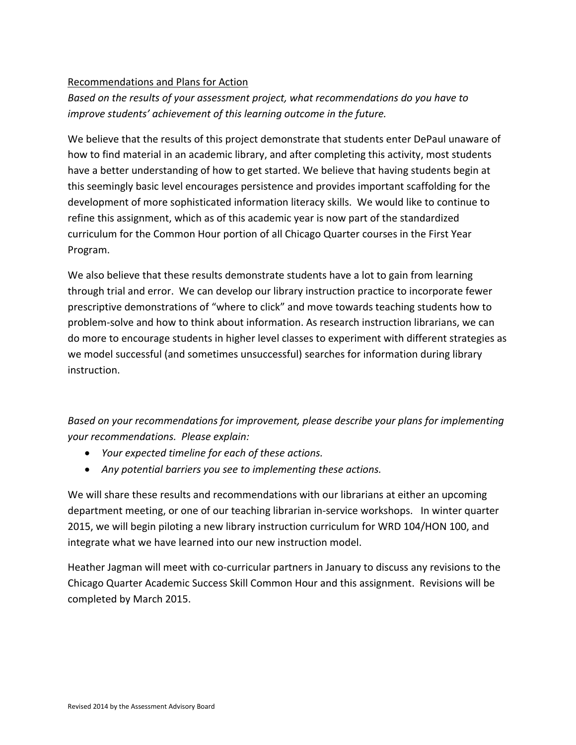## Recommendations and Plans for Action

*Based on the results of your assessment project, what recommendations do you have to improve students' achievement of this learning outcome in the future.*

We believe that the results of this project demonstrate that students enter DePaul unaware of how to find material in an academic library, and after completing this activity, most students have a better understanding of how to get started. We believe that having students begin at this seemingly basic level encourages persistence and provides important scaffolding for the development of more sophisticated information literacy skills. We would like to continue to refine this assignment, which as of this academic year is now part of the standardized curriculum for the Common Hour portion of all Chicago Quarter courses in the First Year Program.

We also believe that these results demonstrate students have a lot to gain from learning through trial and error. We can develop our library instruction practice to incorporate fewer prescriptive demonstrations of "where to click" and move towards teaching students how to problem‐solve and how to think about information. As research instruction librarians, we can do more to encourage students in higher level classes to experiment with different strategies as we model successful (and sometimes unsuccessful) searches for information during library instruction.

*Based on your recommendations for improvement, please describe your plans for implementing your recommendations. Please explain:*

- *Your expected timeline for each of these actions.*
- *Any potential barriers you see to implementing these actions.*

We will share these results and recommendations with our librarians at either an upcoming department meeting, or one of our teaching librarian in‐service workshops. In winter quarter 2015, we will begin piloting a new library instruction curriculum for WRD 104/HON 100, and integrate what we have learned into our new instruction model.

Heather Jagman will meet with co-curricular partners in January to discuss any revisions to the Chicago Quarter Academic Success Skill Common Hour and this assignment. Revisions will be completed by March 2015.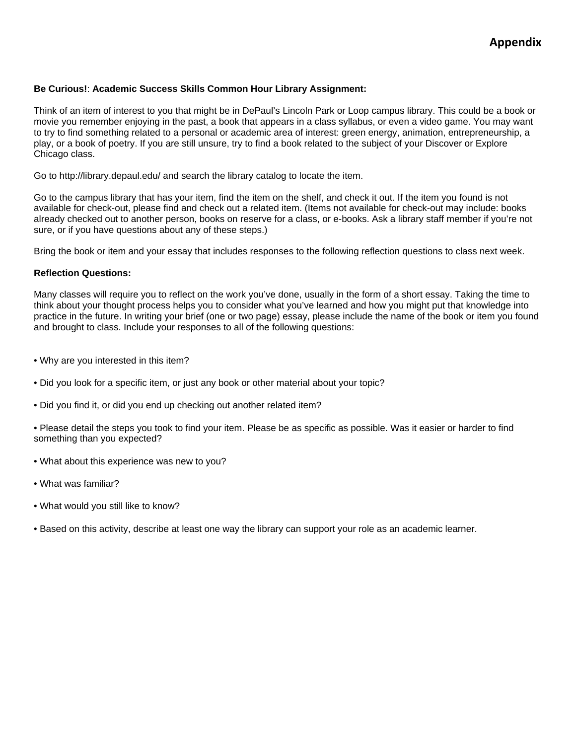#### **Be Curious!**: **Academic Success Skills Common Hour Library Assignment:**

Think of an item of interest to you that might be in DePaul's Lincoln Park or Loop campus library. This could be a book or movie you remember enjoying in the past, a book that appears in a class syllabus, or even a video game. You may want to try to find something related to a personal or academic area of interest: green energy, animation, entrepreneurship, a play, or a book of poetry. If you are still unsure, try to find a book related to the subject of your Discover or Explore Chicago class.

Go to http://library.depaul.edu/ and search the library catalog to locate the item.

Go to the campus library that has your item, find the item on the shelf, and check it out. If the item you found is not available for check-out, please find and check out a related item. (Items not available for check-out may include: books already checked out to another person, books on reserve for a class, or e-books. Ask a library staff member if you're not sure, or if you have questions about any of these steps.)

Bring the book or item and your essay that includes responses to the following reflection questions to class next week.

#### **Reflection Questions:**

Many classes will require you to reflect on the work you've done, usually in the form of a short essay. Taking the time to think about your thought process helps you to consider what you've learned and how you might put that knowledge into practice in the future. In writing your brief (one or two page) essay, please include the name of the book or item you found and brought to class. Include your responses to all of the following questions:

- Why are you interested in this item?
- Did you look for a specific item, or just any book or other material about your topic?
- Did you find it, or did you end up checking out another related item?

• Please detail the steps you took to find your item. Please be as specific as possible. Was it easier or harder to find something than you expected?

- What about this experience was new to you?
- What was familiar?
- What would you still like to know?
- Based on this activity, describe at least one way the library can support your role as an academic learner.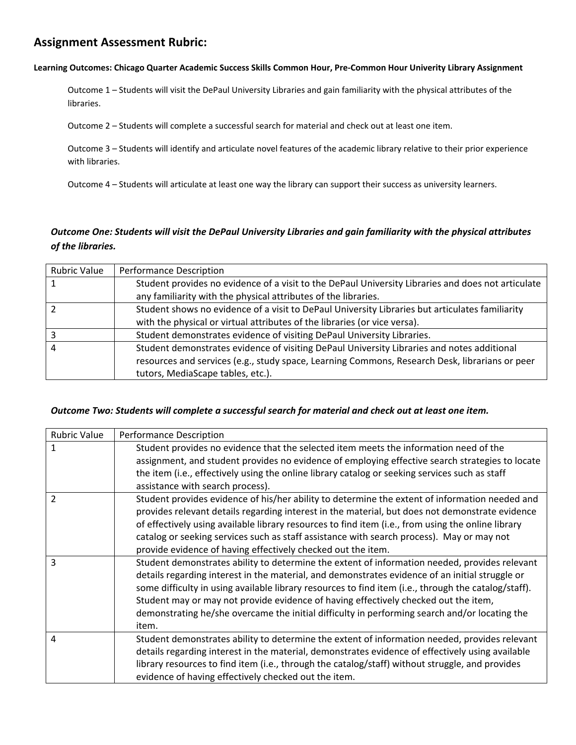## **Assignment Assessment Rubric:**

#### Learning Outcomes: Chicago Quarter Academic Success Skills Common Hour, Pre-Common Hour Univerity Library Assignment

Outcome 1 – Students will visit the DePaul University Libraries and gain familiarity with the physical attributes of the libraries.

Outcome 2 – Students will complete a successful search for material and check out at least one item.

Outcome 3 – Students will identify and articulate novel features of the academic library relative to their prior experience with libraries.

Outcome 4 – Students will articulate at least one way the library can support their success as university learners.

## Outcome One: Students will visit the DePaul University Libraries and gain familiarity with the physical attributes *of the libraries.*

| <b>Rubric Value</b> | <b>Performance Description</b>                                                                     |
|---------------------|----------------------------------------------------------------------------------------------------|
|                     | Student provides no evidence of a visit to the DePaul University Libraries and does not articulate |
|                     | any familiarity with the physical attributes of the libraries.                                     |
|                     | Student shows no evidence of a visit to DePaul University Libraries but articulates familiarity    |
|                     | with the physical or virtual attributes of the libraries (or vice versa).                          |
|                     | Student demonstrates evidence of visiting DePaul University Libraries.                             |
|                     | Student demonstrates evidence of visiting DePaul University Libraries and notes additional         |
|                     | resources and services (e.g., study space, Learning Commons, Research Desk, librarians or peer     |
|                     | tutors, MediaScape tables, etc.).                                                                  |

#### *Outcome Two: Students will complete a successful search for material and check out at least one item.*

| <b>Rubric Value</b> | <b>Performance Description</b>                                                                       |
|---------------------|------------------------------------------------------------------------------------------------------|
| 1                   | Student provides no evidence that the selected item meets the information need of the                |
|                     | assignment, and student provides no evidence of employing effective search strategies to locate      |
|                     | the item (i.e., effectively using the online library catalog or seeking services such as staff       |
|                     | assistance with search process).                                                                     |
| $\overline{2}$      | Student provides evidence of his/her ability to determine the extent of information needed and       |
|                     | provides relevant details regarding interest in the material, but does not demonstrate evidence      |
|                     | of effectively using available library resources to find item (i.e., from using the online library   |
|                     | catalog or seeking services such as staff assistance with search process). May or may not            |
|                     | provide evidence of having effectively checked out the item.                                         |
| 3                   | Student demonstrates ability to determine the extent of information needed, provides relevant        |
|                     | details regarding interest in the material, and demonstrates evidence of an initial struggle or      |
|                     | some difficulty in using available library resources to find item (i.e., through the catalog/staff). |
|                     | Student may or may not provide evidence of having effectively checked out the item,                  |
|                     | demonstrating he/she overcame the initial difficulty in performing search and/or locating the        |
|                     | item.                                                                                                |
| 4                   | Student demonstrates ability to determine the extent of information needed, provides relevant        |
|                     | details regarding interest in the material, demonstrates evidence of effectively using available     |
|                     | library resources to find item (i.e., through the catalog/staff) without struggle, and provides      |
|                     | evidence of having effectively checked out the item.                                                 |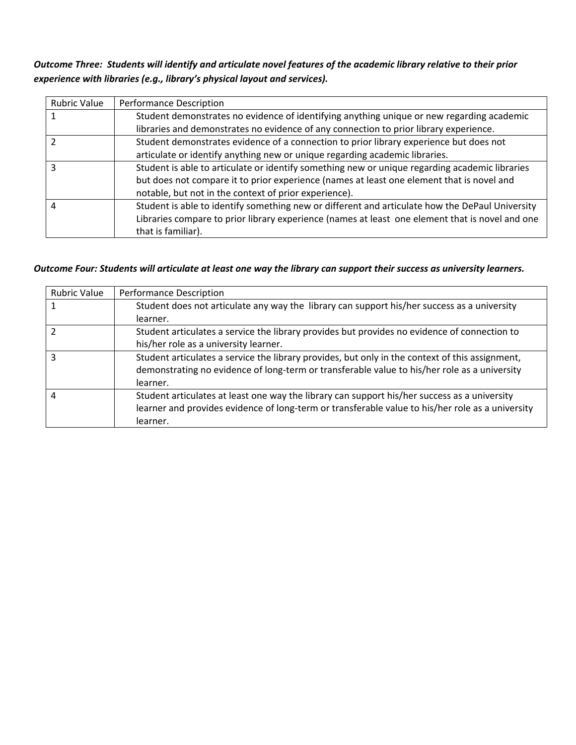Outcome Three: Students will identify and articulate novel features of the academic library relative to their prior *experience with libraries (e.g., library's physical layout and services).* 

| <b>Rubric Value</b> | <b>Performance Description</b>                                                                  |
|---------------------|-------------------------------------------------------------------------------------------------|
|                     | Student demonstrates no evidence of identifying anything unique or new regarding academic       |
|                     | libraries and demonstrates no evidence of any connection to prior library experience.           |
|                     | Student demonstrates evidence of a connection to prior library experience but does not          |
|                     | articulate or identify anything new or unique regarding academic libraries.                     |
|                     | Student is able to articulate or identify something new or unique regarding academic libraries  |
|                     | but does not compare it to prior experience (names at least one element that is novel and       |
|                     | notable, but not in the context of prior experience).                                           |
| 4                   | Student is able to identify something new or different and articulate how the DePaul University |
|                     | Libraries compare to prior library experience (names at least one element that is novel and one |
|                     | that is familiar).                                                                              |

### Outcome Four: Students will articulate at least one way the library can support their success as university learners.

| <b>Rubric Value</b> | <b>Performance Description</b>                                                                   |
|---------------------|--------------------------------------------------------------------------------------------------|
|                     | Student does not articulate any way the library can support his/her success as a university      |
|                     | learner.                                                                                         |
|                     | Student articulates a service the library provides but provides no evidence of connection to     |
|                     | his/her role as a university learner.                                                            |
| 3                   | Student articulates a service the library provides, but only in the context of this assignment,  |
|                     | demonstrating no evidence of long-term or transferable value to his/her role as a university     |
|                     | learner.                                                                                         |
| 4                   | Student articulates at least one way the library can support his/her success as a university     |
|                     | learner and provides evidence of long-term or transferable value to his/her role as a university |
|                     | learner.                                                                                         |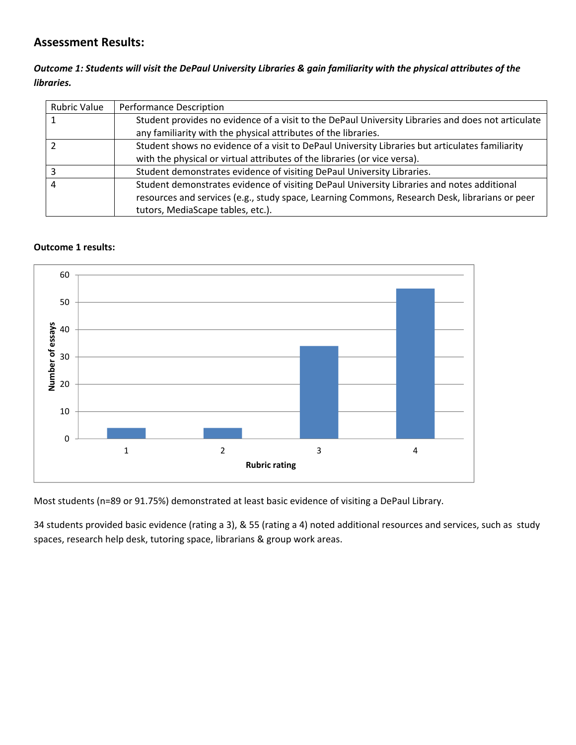## **Assessment Results:**

## Outcome 1: Students will visit the DePaul University Libraries & gain familiarity with the physical attributes of the *libraries.*

| <b>Rubric Value</b> | <b>Performance Description</b>                                                                     |
|---------------------|----------------------------------------------------------------------------------------------------|
|                     | Student provides no evidence of a visit to the DePaul University Libraries and does not articulate |
|                     | any familiarity with the physical attributes of the libraries.                                     |
|                     | Student shows no evidence of a visit to DePaul University Libraries but articulates familiarity    |
|                     | with the physical or virtual attributes of the libraries (or vice versa).                          |
|                     | Student demonstrates evidence of visiting DePaul University Libraries.                             |
|                     | Student demonstrates evidence of visiting DePaul University Libraries and notes additional         |
|                     | resources and services (e.g., study space, Learning Commons, Research Desk, librarians or peer     |
|                     | tutors, MediaScape tables, etc.).                                                                  |

### **Outcome 1 results:**



Most students (n=89 or 91.75%) demonstrated at least basic evidence of visiting a DePaul Library.

34 students provided basic evidence (rating a 3), & 55 (rating a 4) noted additional resources and services, such as study spaces, research help desk, tutoring space, librarians & group work areas.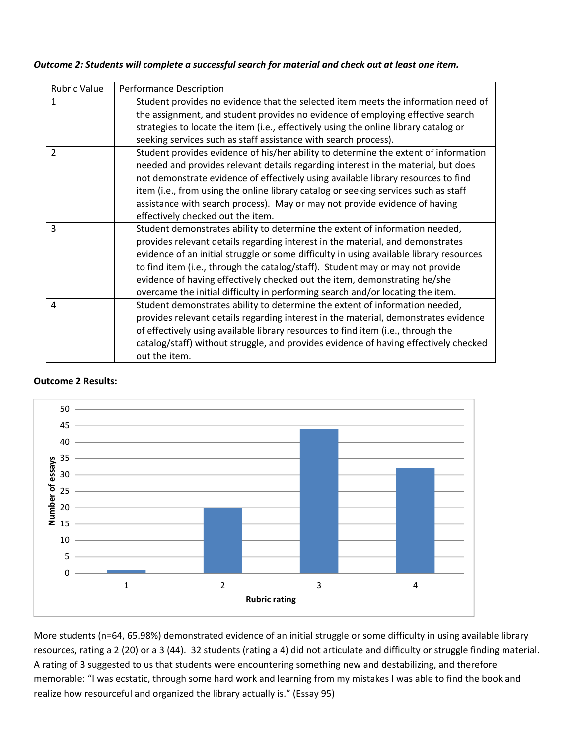#### *Outcome 2: Students will complete a successful search for material and check out at least one item.*

| <b>Rubric Value</b> | <b>Performance Description</b>                                                          |
|---------------------|-----------------------------------------------------------------------------------------|
| 1                   | Student provides no evidence that the selected item meets the information need of       |
|                     | the assignment, and student provides no evidence of employing effective search          |
|                     | strategies to locate the item (i.e., effectively using the online library catalog or    |
|                     | seeking services such as staff assistance with search process).                         |
| $\overline{2}$      | Student provides evidence of his/her ability to determine the extent of information     |
|                     | needed and provides relevant details regarding interest in the material, but does       |
|                     | not demonstrate evidence of effectively using available library resources to find       |
|                     | item (i.e., from using the online library catalog or seeking services such as staff     |
|                     | assistance with search process). May or may not provide evidence of having              |
|                     | effectively checked out the item.                                                       |
| 3                   | Student demonstrates ability to determine the extent of information needed,             |
|                     | provides relevant details regarding interest in the material, and demonstrates          |
|                     | evidence of an initial struggle or some difficulty in using available library resources |
|                     | to find item (i.e., through the catalog/staff). Student may or may not provide          |
|                     | evidence of having effectively checked out the item, demonstrating he/she               |
|                     | overcame the initial difficulty in performing search and/or locating the item.          |
| 4                   | Student demonstrates ability to determine the extent of information needed,             |
|                     | provides relevant details regarding interest in the material, demonstrates evidence     |
|                     | of effectively using available library resources to find item (i.e., through the        |
|                     | catalog/staff) without struggle, and provides evidence of having effectively checked    |
|                     | out the item.                                                                           |

#### **Outcome 2 Results:**



More students (n=64, 65.98%) demonstrated evidence of an initial struggle or some difficulty in using available library resources, rating a 2 (20) or a 3 (44). 32 students (rating a 4) did not articulate and difficulty or struggle finding material. A rating of 3 suggested to us that students were encountering something new and destabilizing, and therefore memorable: "I was ecstatic, through some hard work and learning from my mistakes I was able to find the book and realize how resourceful and organized the library actually is." (Essay 95)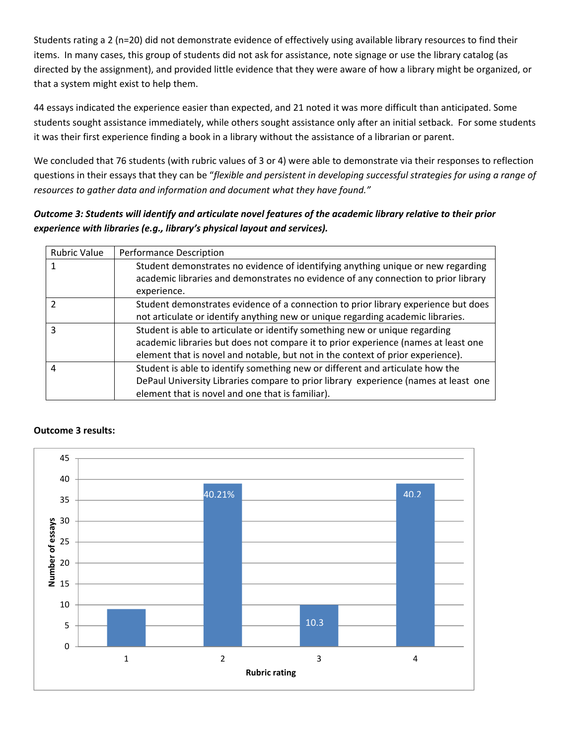Students rating a 2 (n=20) did not demonstrate evidence of effectively using available library resources to find their items. In many cases, this group of students did not ask for assistance, note signage or use the library catalog (as directed by the assignment), and provided little evidence that they were aware of how a library might be organized, or that a system might exist to help them.

44 essays indicated the experience easier than expected, and 21 noted it was more difficult than anticipated. Some students sought assistance immediately, while others sought assistance only after an initial setback. For some students it was their first experience finding a book in a library without the assistance of a librarian or parent.

We concluded that 76 students (with rubric values of 3 or 4) were able to demonstrate via their responses to reflection questions in their essays that they can be "*flexible and persistent in developing successful strategies for using a range of resources to gather data and information and document what they have found."*

## Outcome 3: Students will identify and articulate novel features of the academic library relative to their prior *experience with libraries (e.g., library's physical layout and services).*

| <b>Rubric Value</b> | <b>Performance Description</b>                                                                                                                                                                                                                       |
|---------------------|------------------------------------------------------------------------------------------------------------------------------------------------------------------------------------------------------------------------------------------------------|
|                     | Student demonstrates no evidence of identifying anything unique or new regarding<br>academic libraries and demonstrates no evidence of any connection to prior library<br>experience.                                                                |
|                     | Student demonstrates evidence of a connection to prior library experience but does<br>not articulate or identify anything new or unique regarding academic libraries.                                                                                |
| ς                   | Student is able to articulate or identify something new or unique regarding<br>academic libraries but does not compare it to prior experience (names at least one<br>element that is novel and notable, but not in the context of prior experience). |
| 4                   | Student is able to identify something new or different and articulate how the<br>DePaul University Libraries compare to prior library experience (names at least one<br>element that is novel and one that is familiar).                             |



## **Outcome 3 results:**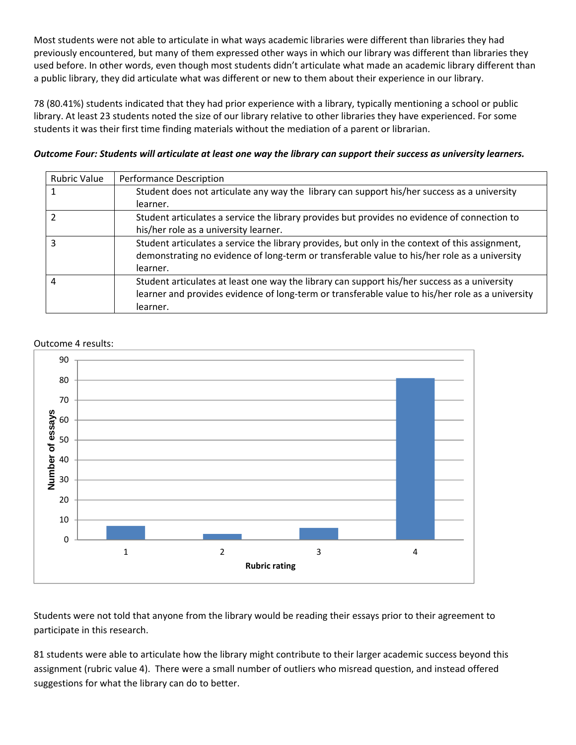Most students were not able to articulate in what ways academic libraries were different than libraries they had previously encountered, but many of them expressed other ways in which our library was different than libraries they used before. In other words, even though most students didn't articulate what made an academic library different than a public library, they did articulate what was different or new to them about their experience in our library.

78 (80.41%) students indicated that they had prior experience with a library, typically mentioning a school or public library. At least 23 students noted the size of our library relative to other libraries they have experienced. For some students it was their first time finding materials without the mediation of a parent or librarian.

#### Outcome Four: Students will articulate at least one way the library can support their success as university learners.

| <b>Rubric Value</b> | <b>Performance Description</b>                                                                   |
|---------------------|--------------------------------------------------------------------------------------------------|
|                     | Student does not articulate any way the library can support his/her success as a university      |
|                     | learner.                                                                                         |
|                     | Student articulates a service the library provides but provides no evidence of connection to     |
|                     | his/her role as a university learner.                                                            |
| ς                   | Student articulates a service the library provides, but only in the context of this assignment,  |
|                     | demonstrating no evidence of long-term or transferable value to his/her role as a university     |
|                     | learner.                                                                                         |
| 4                   | Student articulates at least one way the library can support his/her success as a university     |
|                     | learner and provides evidence of long-term or transferable value to his/her role as a university |
|                     | learner.                                                                                         |





Students were not told that anyone from the library would be reading their essays prior to their agreement to participate in this research.

81 students were able to articulate how the library might contribute to their larger academic success beyond this assignment (rubric value 4). There were a small number of outliers who misread question, and instead offered suggestions for what the library can do to better.